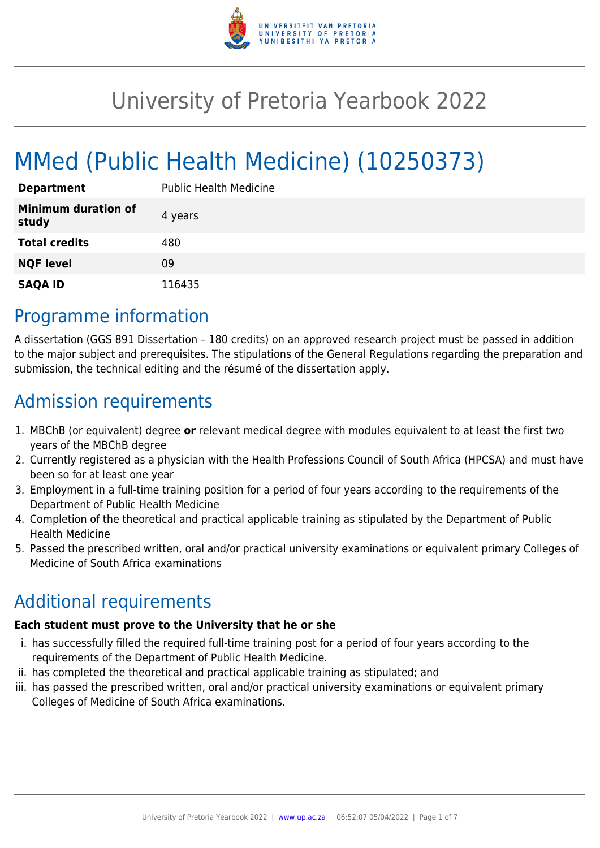

# University of Pretoria Yearbook 2022

# MMed (Public Health Medicine) (10250373)

| <b>Department</b>            | <b>Public Health Medicine</b> |
|------------------------------|-------------------------------|
| Minimum duration of<br>study | 4 years                       |
| <b>Total credits</b>         | 480                           |
| <b>NQF level</b>             | 09                            |
| <b>SAQA ID</b>               | 116435                        |

### Programme information

A dissertation (GGS 891 Dissertation – 180 credits) on an approved research project must be passed in addition to the major subject and prerequisites. The stipulations of the General Regulations regarding the preparation and submission, the technical editing and the résumé of the dissertation apply.

## Admission requirements

- 1. MBChB (or equivalent) degree **or** relevant medical degree with modules equivalent to at least the first two years of the MBChB degree
- 2. Currently registered as a physician with the Health Professions Council of South Africa (HPCSA) and must have been so for at least one year
- 3. Employment in a full-time training position for a period of four years according to the requirements of the Department of Public Health Medicine
- 4. Completion of the theoretical and practical applicable training as stipulated by the Department of Public Health Medicine
- 5. Passed the prescribed written, oral and/or practical university examinations or equivalent primary Colleges of Medicine of South Africa examinations

# Additional requirements

#### **Each student must prove to the University that he or she**

- i. has successfully filled the required full-time training post for a period of four years according to the requirements of the Department of Public Health Medicine.
- ii. has completed the theoretical and practical applicable training as stipulated; and
- iii. has passed the prescribed written, oral and/or practical university examinations or equivalent primary Colleges of Medicine of South Africa examinations.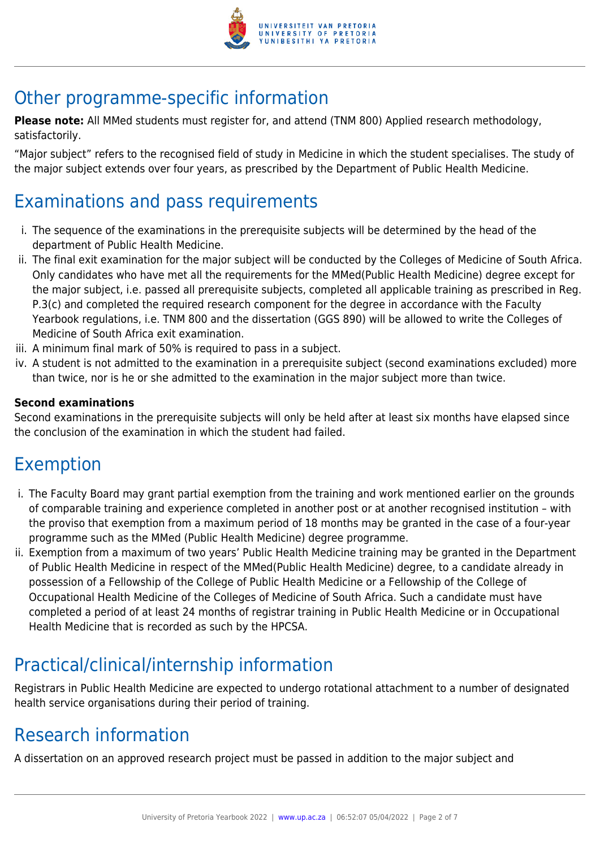

## Other programme-specific information

**Please note:** All MMed students must register for, and attend (TNM 800) Applied research methodology, satisfactorily.

"Major subject" refers to the recognised field of study in Medicine in which the student specialises. The study of the major subject extends over four years, as prescribed by the Department of Public Health Medicine.

#### Examinations and pass requirements

- i. The sequence of the examinations in the prerequisite subjects will be determined by the head of the department of Public Health Medicine.
- ii. The final exit examination for the major subject will be conducted by the Colleges of Medicine of South Africa. Only candidates who have met all the requirements for the MMed(Public Health Medicine) degree except for the major subject, i.e. passed all prerequisite subjects, completed all applicable training as prescribed in Reg. P.3(c) and completed the required research component for the degree in accordance with the Faculty Yearbook regulations, i.e. TNM 800 and the dissertation (GGS 890) will be allowed to write the Colleges of Medicine of South Africa exit examination.
- iii. A minimum final mark of 50% is required to pass in a subject.
- iv. A student is not admitted to the examination in a prerequisite subject (second examinations excluded) more than twice, nor is he or she admitted to the examination in the major subject more than twice.

#### **Second examinations**

Second examinations in the prerequisite subjects will only be held after at least six months have elapsed since the conclusion of the examination in which the student had failed.

#### Exemption

- i. The Faculty Board may grant partial exemption from the training and work mentioned earlier on the grounds of comparable training and experience completed in another post or at another recognised institution – with the proviso that exemption from a maximum period of 18 months may be granted in the case of a four-year programme such as the MMed (Public Health Medicine) degree programme.
- ii. Exemption from a maximum of two years' Public Health Medicine training may be granted in the Department of Public Health Medicine in respect of the MMed(Public Health Medicine) degree, to a candidate already in possession of a Fellowship of the College of Public Health Medicine or a Fellowship of the College of Occupational Health Medicine of the Colleges of Medicine of South Africa. Such a candidate must have completed a period of at least 24 months of registrar training in Public Health Medicine or in Occupational Health Medicine that is recorded as such by the HPCSA.

# Practical/clinical/internship information

Registrars in Public Health Medicine are expected to undergo rotational attachment to a number of designated health service organisations during their period of training.

### Research information

A dissertation on an approved research project must be passed in addition to the major subject and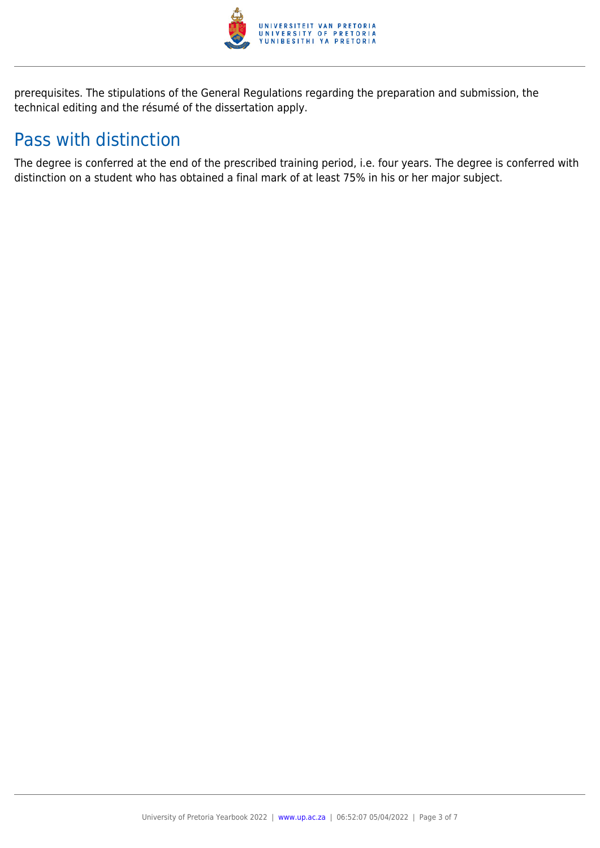

prerequisites. The stipulations of the General Regulations regarding the preparation and submission, the technical editing and the résumé of the dissertation apply.

### Pass with distinction

The degree is conferred at the end of the prescribed training period, i.e. four years. The degree is conferred with distinction on a student who has obtained a final mark of at least 75% in his or her major subject.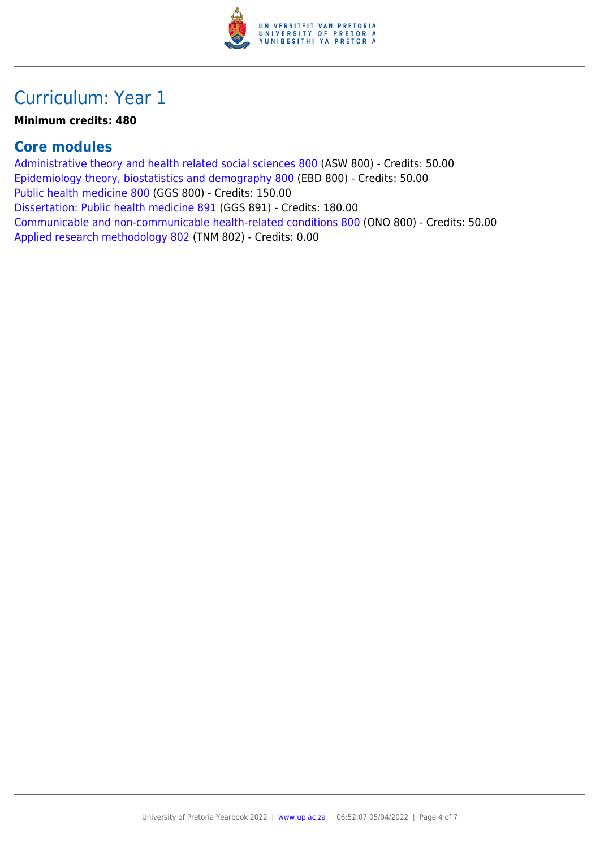

### Curriculum: Year 1

#### **Minimum credits: 480**

#### **Core modules**

[Administrative theory and health related social sciences 800](https://www.up.ac.za/yearbooks/2022/modules/view/ASW 800) (ASW 800) - Credits: 50.00 [Epidemiology theory, biostatistics and demography 800](https://www.up.ac.za/yearbooks/2022/modules/view/EBD 800) (EBD 800) - Credits: 50.00 [Public health medicine 800](https://www.up.ac.za/yearbooks/2022/modules/view/GGS 800) (GGS 800) - Credits: 150.00 [Dissertation: Public health medicine 891](https://www.up.ac.za/yearbooks/2022/modules/view/GGS 891) (GGS 891) - Credits: 180.00 [Communicable and non-communicable health-related conditions 800](https://www.up.ac.za/yearbooks/2022/modules/view/ONO 800) (ONO 800) - Credits: 50.00 [Applied research methodology 802](https://www.up.ac.za/yearbooks/2022/modules/view/TNM 802) (TNM 802) - Credits: 0.00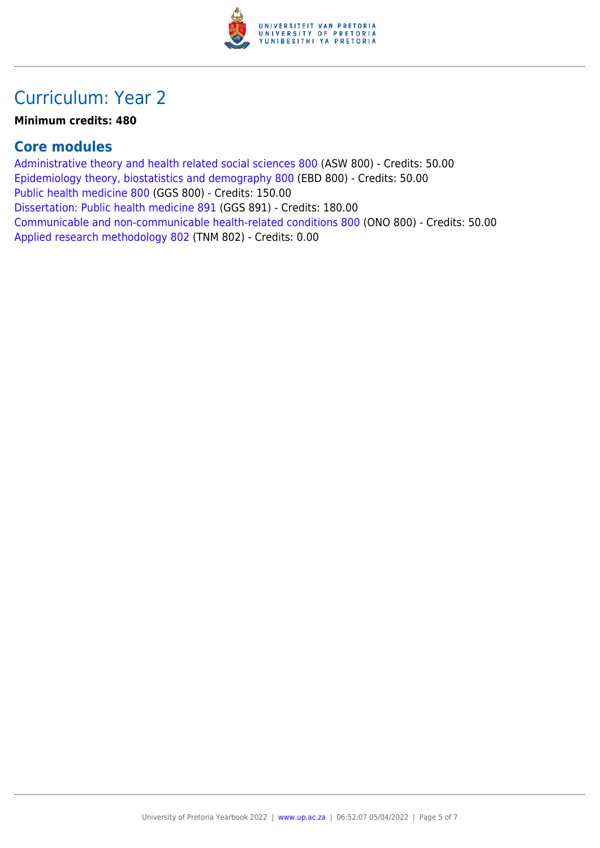

### Curriculum: Year 2

#### **Minimum credits: 480**

#### **Core modules**

[Administrative theory and health related social sciences 800](https://www.up.ac.za/yearbooks/2022/modules/view/ASW 800) (ASW 800) - Credits: 50.00 [Epidemiology theory, biostatistics and demography 800](https://www.up.ac.za/yearbooks/2022/modules/view/EBD 800) (EBD 800) - Credits: 50.00 [Public health medicine 800](https://www.up.ac.za/yearbooks/2022/modules/view/GGS 800) (GGS 800) - Credits: 150.00 [Dissertation: Public health medicine 891](https://www.up.ac.za/yearbooks/2022/modules/view/GGS 891) (GGS 891) - Credits: 180.00 [Communicable and non-communicable health-related conditions 800](https://www.up.ac.za/yearbooks/2022/modules/view/ONO 800) (ONO 800) - Credits: 50.00 [Applied research methodology 802](https://www.up.ac.za/yearbooks/2022/modules/view/TNM 802) (TNM 802) - Credits: 0.00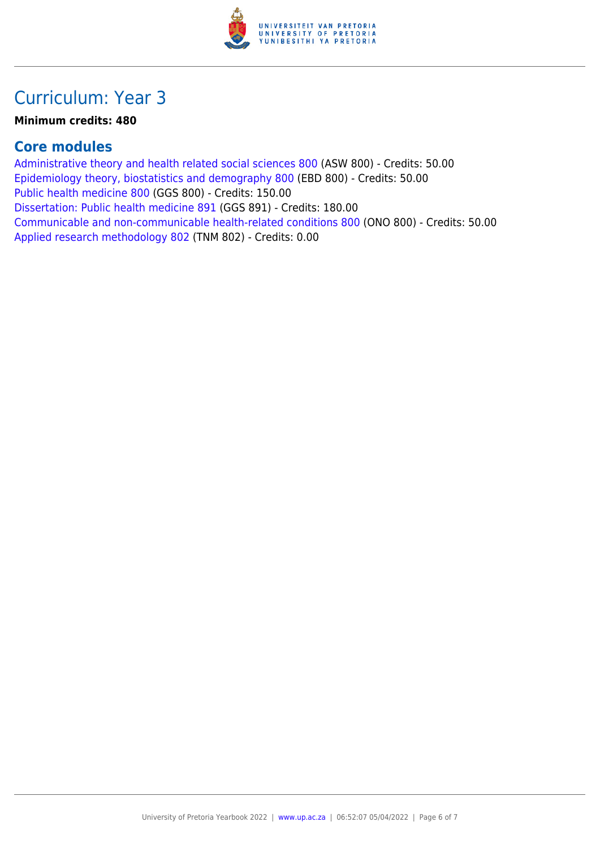

### Curriculum: Year 3

#### **Minimum credits: 480**

#### **Core modules**

[Administrative theory and health related social sciences 800](https://www.up.ac.za/yearbooks/2022/modules/view/ASW 800) (ASW 800) - Credits: 50.00 [Epidemiology theory, biostatistics and demography 800](https://www.up.ac.za/yearbooks/2022/modules/view/EBD 800) (EBD 800) - Credits: 50.00 [Public health medicine 800](https://www.up.ac.za/yearbooks/2022/modules/view/GGS 800) (GGS 800) - Credits: 150.00 [Dissertation: Public health medicine 891](https://www.up.ac.za/yearbooks/2022/modules/view/GGS 891) (GGS 891) - Credits: 180.00 [Communicable and non-communicable health-related conditions 800](https://www.up.ac.za/yearbooks/2022/modules/view/ONO 800) (ONO 800) - Credits: 50.00 [Applied research methodology 802](https://www.up.ac.za/yearbooks/2022/modules/view/TNM 802) (TNM 802) - Credits: 0.00